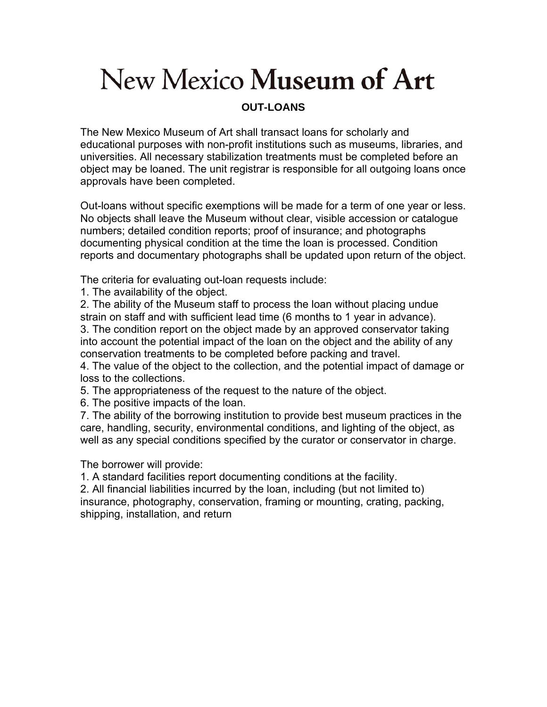## New Mexico Museum of Art

## **OUT-LOANS**

The New Mexico Museum of Art shall transact loans for scholarly and educational purposes with non-profit institutions such as museums, libraries, and universities. All necessary stabilization treatments must be completed before an object may be loaned. The unit registrar is responsible for all outgoing loans once approvals have been completed.

Out-loans without specific exemptions will be made for a term of one year or less. No objects shall leave the Museum without clear, visible accession or catalogue numbers; detailed condition reports; proof of insurance; and photographs documenting physical condition at the time the loan is processed. Condition reports and documentary photographs shall be updated upon return of the object.

The criteria for evaluating out-loan requests include:

1. The availability of the object.

2. The ability of the Museum staff to process the loan without placing undue strain on staff and with sufficient lead time (6 months to 1 year in advance).

3. The condition report on the object made by an approved conservator taking into account the potential impact of the loan on the object and the ability of any conservation treatments to be completed before packing and travel.

4. The value of the object to the collection, and the potential impact of damage or loss to the collections.

5. The appropriateness of the request to the nature of the object.

6. The positive impacts of the loan.

7. The ability of the borrowing institution to provide best museum practices in the care, handling, security, environmental conditions, and lighting of the object, as well as any special conditions specified by the curator or conservator in charge.

The borrower will provide:

1. A standard facilities report documenting conditions at the facility.

2. All financial liabilities incurred by the loan, including (but not limited to) insurance, photography, conservation, framing or mounting, crating, packing, shipping, installation, and return